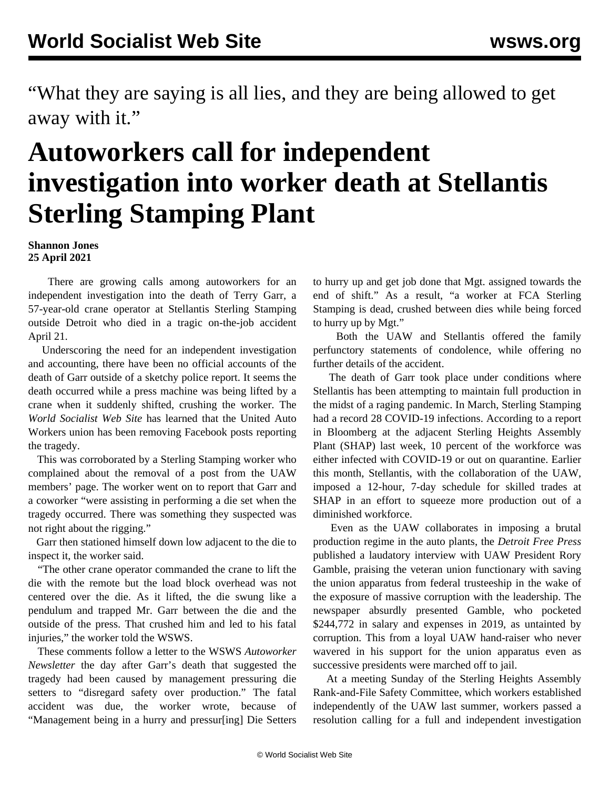"What they are saying is all lies, and they are being allowed to get away with it."

## **Autoworkers call for independent investigation into worker death at Stellantis Sterling Stamping Plant**

**Shannon Jones 25 April 2021**

 There are growing calls among autoworkers for an independent investigation into the death of Terry Garr, a 57-year-old crane operator at Stellantis Sterling Stamping outside Detroit who died in a tragic on-the-job accident April 21.

 Underscoring the need for an independent investigation and accounting, there have been no official accounts of the death of Garr outside of a sketchy police report. It seems the death occurred while a press machine was being lifted by a crane when it suddenly shifted, crushing the worker. The *World Socialist Web Site* has learned that the United Auto Workers union has been removing Facebook posts reporting the tragedy.

 This was corroborated by a Sterling Stamping worker who complained about the removal of a post from the UAW members' page. The worker went on to report that Garr and a coworker "were assisting in performing a die set when the tragedy occurred. There was something they suspected was not right about the rigging."

 Garr then stationed himself down low adjacent to the die to inspect it, the worker said.

 "The other crane operator commanded the crane to lift the die with the remote but the load block overhead was not centered over the die. As it lifted, the die swung like a pendulum and trapped Mr. Garr between the die and the outside of the press. That crushed him and led to his fatal injuries," the worker told the WSWS.

 These comments follow a letter to the WSWS *Autoworker Newsletter* the day after Garr's death that suggested the tragedy had been caused by management pressuring die setters to "disregard safety over production." The fatal accident was due, the worker wrote, because of "Management being in a hurry and pressur[ing] Die Setters

to hurry up and get job done that Mgt. assigned towards the end of shift." As a result, "a worker at FCA Sterling Stamping is dead, crushed between dies while being forced to hurry up by Mgt."

 Both the UAW and Stellantis offered the family perfunctory statements of condolence, while offering no further details of the accident.

 The death of Garr took place under conditions where Stellantis has been attempting to maintain full production in the midst of a raging pandemic. In March, Sterling Stamping had a record 28 COVID-19 infections. According to a report in Bloomberg at the adjacent Sterling Heights Assembly Plant (SHAP) last week, 10 percent of the workforce was either infected with COVID-19 or out on quarantine. Earlier this month, Stellantis, with the collaboration of the UAW, imposed a 12-hour, 7-day schedule for skilled trades at SHAP in an effort to squeeze more production out of a diminished workforce.

 Even as the UAW collaborates in imposing a brutal production regime in the auto plants, the *Detroit Free Press* published a laudatory interview with UAW President Rory Gamble, praising the veteran union functionary with saving the union apparatus from federal trusteeship in the wake of the exposure of massive corruption with the leadership. The newspaper absurdly presented Gamble, who pocketed \$244,772 in salary and expenses in 2019, as untainted by corruption. This from a loyal UAW hand-raiser who never wavered in his support for the union apparatus even as successive presidents were marched off to jail.

 At a meeting Sunday of the Sterling Heights Assembly Rank-and-File Safety Committee, which workers established independently of the UAW last summer, workers passed a resolution calling for a full and independent investigation